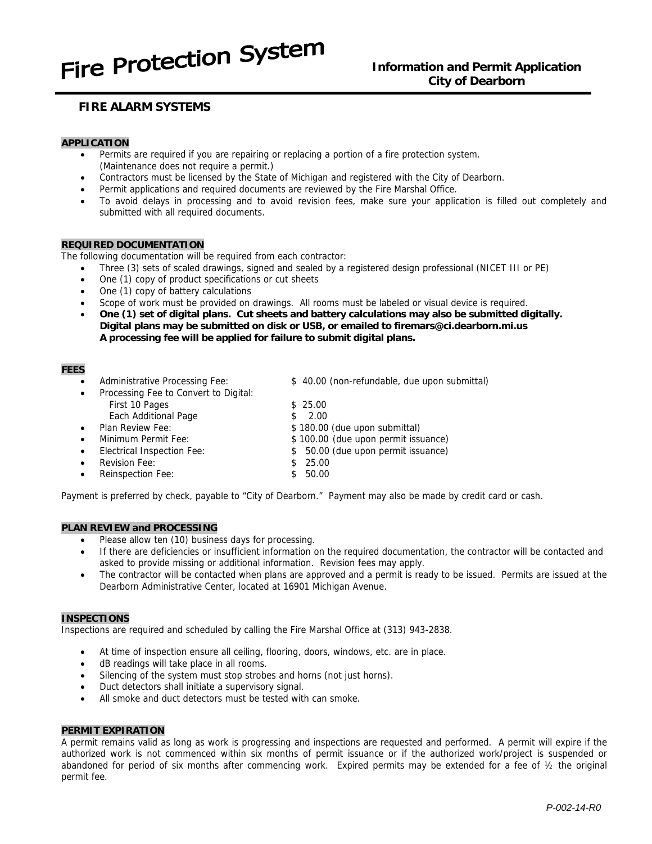# Fire Protection System

## **Information and Permit Application City of Dearborn**

## **FIRE ALARM SYSTEMS**

#### **APPLICATION**

- Permits are required if you are repairing or replacing a portion of a fire protection system. (Maintenance does not require a permit.)
- Contractors must be licensed by the State of Michigan and registered with the City of Dearborn.
- Permit applications and required documents are reviewed by the Fire Marshal Office.
- To avoid delays in processing and to avoid revision fees, make sure your application is filled out completely and submitted with all required documents.

#### **REQUIRED DOCUMENTATION**

The following documentation will be required from each contractor:

- Three (3) sets of scaled drawings, signed and sealed by a registered design professional (NICET III or PE)
- One (1) copy of product specifications or cut sheets
- One (1) copy of battery calculations
- Scope of work must be provided on drawings. All rooms must be labeled or visual device is required.
- **One (1) set of digital plans. Cut sheets and battery calculations may also be submitted digitally. Digital plans may be submitted on disk or USB, or emailed to firemars@ci.dearborn.mi.us A processing fee will be applied for failure to submit digital plans.**

#### **FEES**

| $\bullet$ | Administrative Processing Fee:        |    | \$40.00 (non-refundable, due upon submittal) |
|-----------|---------------------------------------|----|----------------------------------------------|
| $\bullet$ | Processing Fee to Convert to Digital: |    |                                              |
|           | First 10 Pages                        |    | \$25.00                                      |
|           | Each Additional Page                  |    | 2.00                                         |
| $\bullet$ | Plan Review Fee:                      |    | \$180.00 (due upon submittal)                |
| $\bullet$ | Minimum Permit Fee:                   |    | \$100.00 (due upon permit issuance)          |
| $\bullet$ | Electrical Inspection Fee:            |    | \$ 50.00 (due upon permit issuance)          |
|           | Revision Fee:                         | S. | 25.00                                        |
|           | <b>Reinspection Fee:</b>              |    | 50.00                                        |

Payment is preferred by check, payable to "City of Dearborn." Payment may also be made by credit card or cash.

#### **PLAN REVIEW and PROCESSING**

- Please allow ten (10) business days for processing.
- If there are deficiencies or insufficient information on the required documentation, the contractor will be contacted and asked to provide missing or additional information. Revision fees may apply.
- The contractor will be contacted when plans are approved and a permit is ready to be issued. Permits are issued at the Dearborn Administrative Center, located at 16901 Michigan Avenue.

#### **INSPECTIONS**

Inspections are required and scheduled by calling the Fire Marshal Office at (313) 943-2838.

- At time of inspection ensure all ceiling, flooring, doors, windows, etc. are in place.
- dB readings will take place in all rooms.
- Silencing of the system must stop strobes and horns (not just horns).
- Duct detectors shall initiate a supervisory signal.
- All smoke and duct detectors must be tested with can smoke.

#### **PERMIT EXPIRATION**

A permit remains valid as long as work is progressing and inspections are requested and performed. A permit will expire if the authorized work is not commenced within six months of permit issuance or if the authorized work/project is suspended or abandoned for period of six months after commencing work. Expired permits may be extended for a fee of ½ the original permit fee.